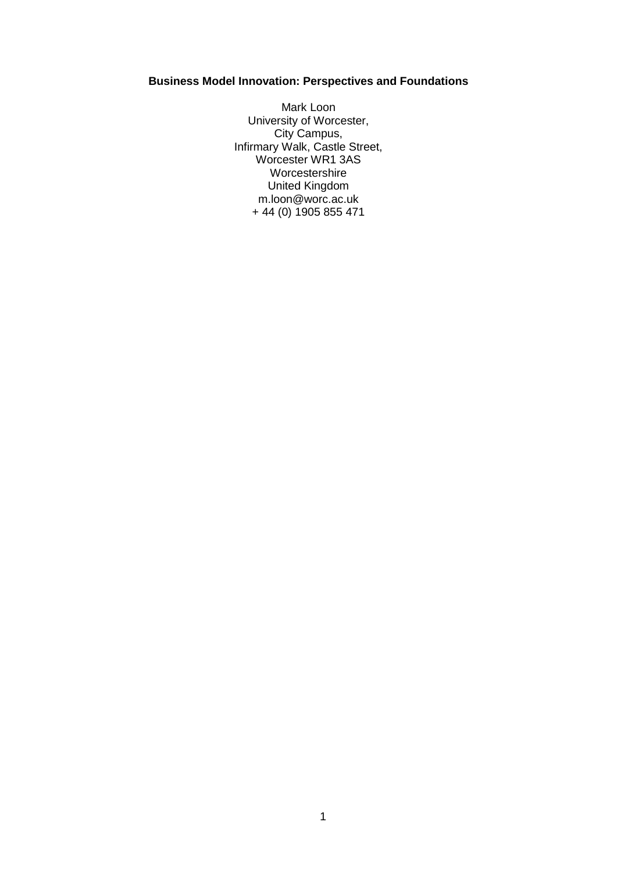# **Business Model Innovation: Perspectives and Foundations**

Mark Loon University of Worcester, City Campus, Infirmary Walk, Castle Street, Worcester WR1 3AS Worcestershire United Kingdom m.loon@worc.ac.uk + 44 (0) 1905 855 471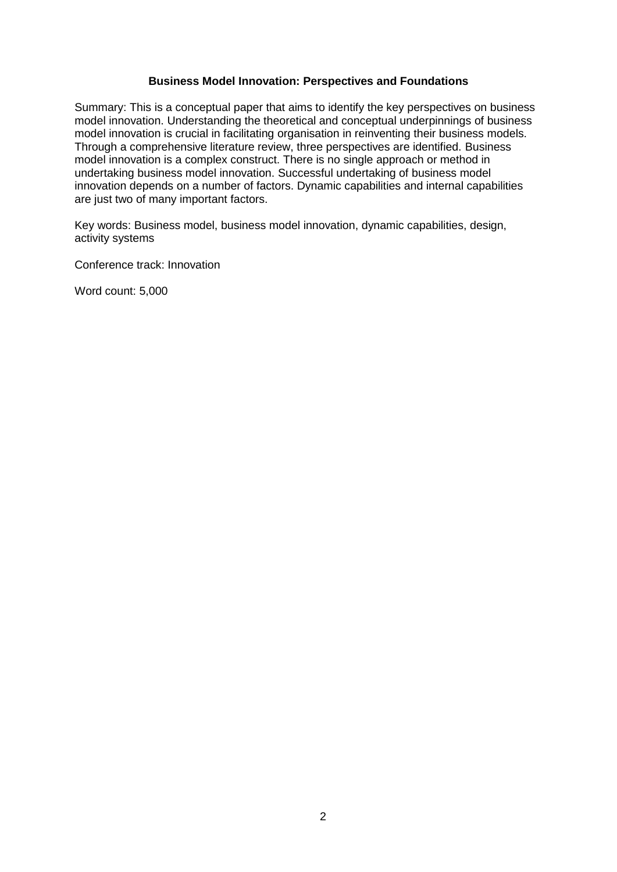### **Business Model Innovation: Perspectives and Foundations**

Summary: This is a conceptual paper that aims to identify the key perspectives on business model innovation. Understanding the theoretical and conceptual underpinnings of business model innovation is crucial in facilitating organisation in reinventing their business models. Through a comprehensive literature review, three perspectives are identified. Business model innovation is a complex construct. There is no single approach or method in undertaking business model innovation. Successful undertaking of business model innovation depends on a number of factors. Dynamic capabilities and internal capabilities are just two of many important factors.

Key words: Business model, business model innovation, dynamic capabilities, design, activity systems

Conference track: Innovation

Word count: 5,000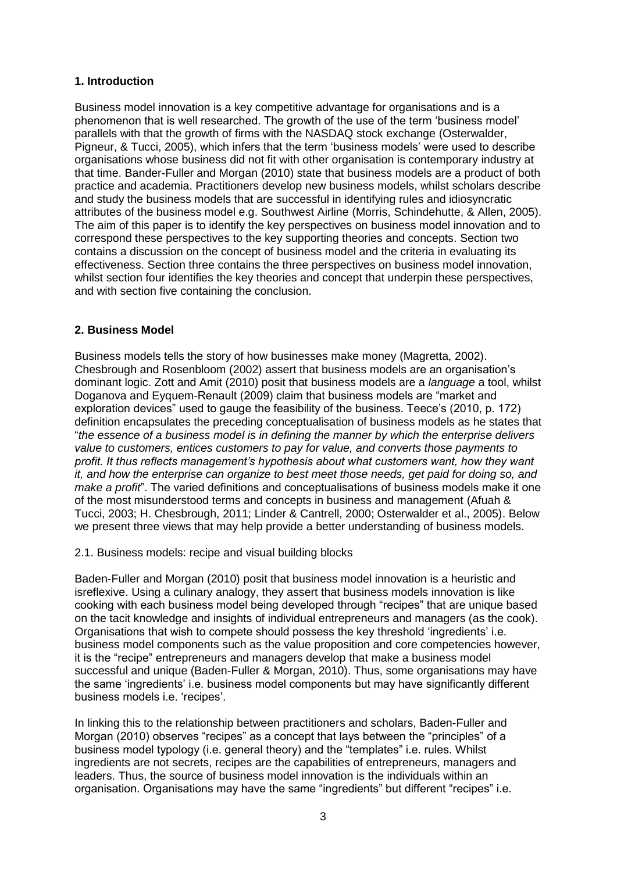# **1. Introduction**

Business model innovation is a key competitive advantage for organisations and is a phenomenon that is well researched. The growth of the use of the term 'business model' parallels with that the growth of firms with the NASDAQ stock exchange (Osterwalder, Pigneur, & Tucci, 2005), which infers that the term 'business models' were used to describe organisations whose business did not fit with other organisation is contemporary industry at that time. Bander-Fuller and Morgan (2010) state that business models are a product of both practice and academia. Practitioners develop new business models, whilst scholars describe and study the business models that are successful in identifying rules and idiosyncratic attributes of the business model e.g. Southwest Airline (Morris, Schindehutte, & Allen, 2005). The aim of this paper is to identify the key perspectives on business model innovation and to correspond these perspectives to the key supporting theories and concepts. Section two contains a discussion on the concept of business model and the criteria in evaluating its effectiveness. Section three contains the three perspectives on business model innovation, whilst section four identifies the key theories and concept that underpin these perspectives, and with section five containing the conclusion.

# **2. Business Model**

Business models tells the story of how businesses make money (Magretta, 2002). Chesbrough and Rosenbloom (2002) assert that business models are an organisation's dominant logic. Zott and Amit (2010) posit that business models are a *language* a tool, whilst Doganova and Eyquem-Renault (2009) claim that business models are "market and exploration devices" used to gauge the feasibility of the business. Teece's (2010, p. 172) definition encapsulates the preceding conceptualisation of business models as he states that "*the essence of a business model is in defining the manner by which the enterprise delivers value to customers, entices customers to pay for value, and converts those payments to profit. It thus reflects management's hypothesis about what customers want, how they want it, and how the enterprise can organize to best meet those needs, get paid for doing so, and make a profit*". The varied definitions and conceptualisations of business models make it one of the most misunderstood terms and concepts in business and management (Afuah & Tucci, 2003; H. Chesbrough, 2011; Linder & Cantrell, 2000; Osterwalder et al., 2005). Below we present three views that may help provide a better understanding of business models.

## 2.1. Business models: recipe and visual building blocks

Baden-Fuller and Morgan (2010) posit that business model innovation is a heuristic and isreflexive. Using a culinary analogy, they assert that business models innovation is like cooking with each business model being developed through "recipes" that are unique based on the tacit knowledge and insights of individual entrepreneurs and managers (as the cook). Organisations that wish to compete should possess the key threshold 'ingredients' i.e. business model components such as the value proposition and core competencies however, it is the "recipe" entrepreneurs and managers develop that make a business model successful and unique (Baden-Fuller & Morgan, 2010). Thus, some organisations may have the same 'ingredients' i.e. business model components but may have significantly different business models i.e. 'recipes'.

In linking this to the relationship between practitioners and scholars, Baden-Fuller and Morgan (2010) observes "recipes" as a concept that lays between the "principles" of a business model typology (i.e. general theory) and the "templates" i.e. rules. Whilst ingredients are not secrets, recipes are the capabilities of entrepreneurs, managers and leaders. Thus, the source of business model innovation is the individuals within an organisation. Organisations may have the same "ingredients" but different "recipes" i.e.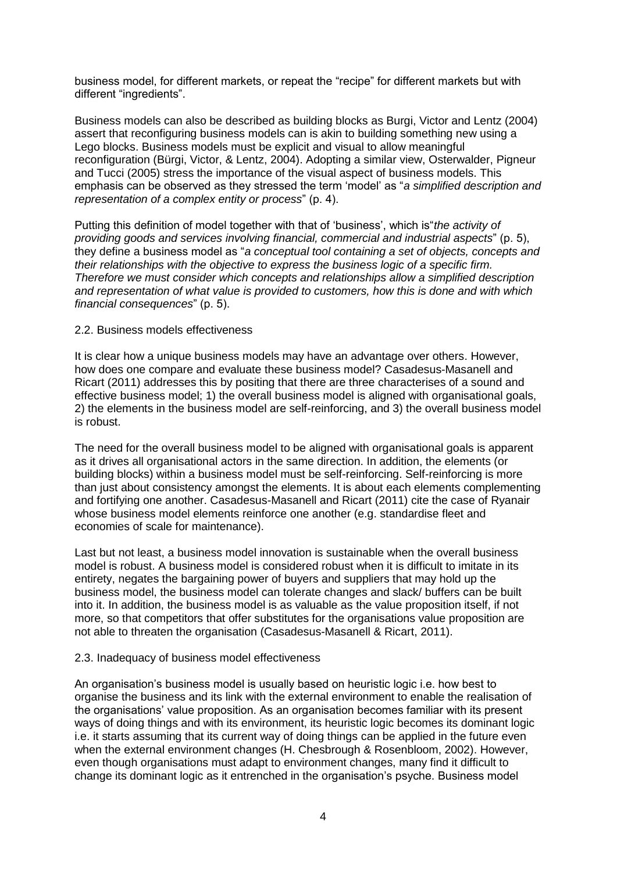business model, for different markets, or repeat the "recipe" for different markets but with different "ingredients".

Business models can also be described as building blocks as Burgi, Victor and Lentz (2004) assert that reconfiguring business models can is akin to building something new using a Lego blocks. Business models must be explicit and visual to allow meaningful reconfiguration (Bürgi, Victor, & Lentz, 2004). Adopting a similar view, Osterwalder, Pigneur and Tucci (2005) stress the importance of the visual aspect of business models. This emphasis can be observed as they stressed the term 'model' as "*a simplified description and representation of a complex entity or process*" (p. 4).

Putting this definition of model together with that of 'business', which is"*the activity of providing goods and services involving financial, commercial and industrial aspects*" (p. 5), they define a business model as "*a conceptual tool containing a set of objects, concepts and their relationships with the objective to express the business logic of a specific firm. Therefore we must consider which concepts and relationships allow a simplified description and representation of what value is provided to customers, how this is done and with which financial consequences*" (p. 5).

#### 2.2. Business models effectiveness

It is clear how a unique business models may have an advantage over others. However, how does one compare and evaluate these business model? Casadesus-Masanell and Ricart (2011) addresses this by positing that there are three characterises of a sound and effective business model; 1) the overall business model is aligned with organisational goals, 2) the elements in the business model are self-reinforcing, and 3) the overall business model is robust.

The need for the overall business model to be aligned with organisational goals is apparent as it drives all organisational actors in the same direction. In addition, the elements (or building blocks) within a business model must be self-reinforcing. Self-reinforcing is more than just about consistency amongst the elements. It is about each elements complementing and fortifying one another. Casadesus-Masanell and Ricart (2011) cite the case of Ryanair whose business model elements reinforce one another (e.g. standardise fleet and economies of scale for maintenance).

Last but not least, a business model innovation is sustainable when the overall business model is robust. A business model is considered robust when it is difficult to imitate in its entirety, negates the bargaining power of buyers and suppliers that may hold up the business model, the business model can tolerate changes and slack/ buffers can be built into it. In addition, the business model is as valuable as the value proposition itself, if not more, so that competitors that offer substitutes for the organisations value proposition are not able to threaten the organisation (Casadesus-Masanell & Ricart, 2011).

#### 2.3. Inadequacy of business model effectiveness

An organisation's business model is usually based on heuristic logic i.e. how best to organise the business and its link with the external environment to enable the realisation of the organisations' value proposition. As an organisation becomes familiar with its present ways of doing things and with its environment, its heuristic logic becomes its dominant logic i.e. it starts assuming that its current way of doing things can be applied in the future even when the external environment changes (H. Chesbrough & Rosenbloom, 2002). However, even though organisations must adapt to environment changes, many find it difficult to change its dominant logic as it entrenched in the organisation's psyche. Business model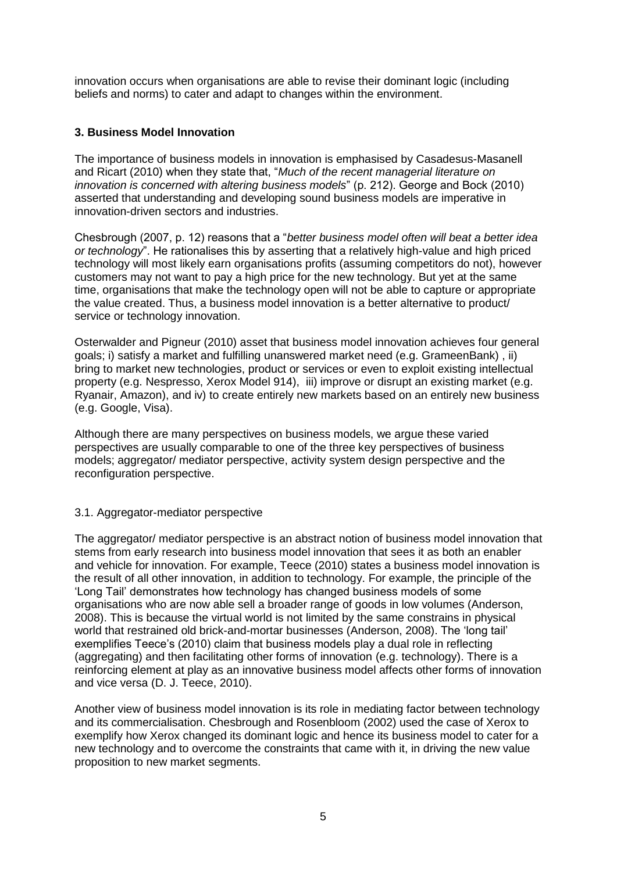innovation occurs when organisations are able to revise their dominant logic (including beliefs and norms) to cater and adapt to changes within the environment.

# **3. Business Model Innovation**

The importance of business models in innovation is emphasised by Casadesus-Masanell and Ricart (2010) when they state that, "*Much of the recent managerial literature on innovation is concerned with altering business models*" (p. 212). George and Bock (2010) asserted that understanding and developing sound business models are imperative in innovation-driven sectors and industries.

Chesbrough (2007, p. 12) reasons that a "*better business model often will beat a better idea or technology*". He rationalises this by asserting that a relatively high-value and high priced technology will most likely earn organisations profits (assuming competitors do not), however customers may not want to pay a high price for the new technology. But yet at the same time, organisations that make the technology open will not be able to capture or appropriate the value created. Thus, a business model innovation is a better alternative to product/ service or technology innovation.

Osterwalder and Pigneur (2010) asset that business model innovation achieves four general goals; i) satisfy a market and fulfilling unanswered market need (e.g. GrameenBank) , ii) bring to market new technologies, product or services or even to exploit existing intellectual property (e.g. Nespresso, Xerox Model 914), iii) improve or disrupt an existing market (e.g. Ryanair, Amazon), and iv) to create entirely new markets based on an entirely new business (e.g. Google, Visa).

Although there are many perspectives on business models, we argue these varied perspectives are usually comparable to one of the three key perspectives of business models; aggregator/ mediator perspective, activity system design perspective and the reconfiguration perspective.

## 3.1. Aggregator-mediator perspective

The aggregator/ mediator perspective is an abstract notion of business model innovation that stems from early research into business model innovation that sees it as both an enabler and vehicle for innovation. For example, Teece (2010) states a business model innovation is the result of all other innovation, in addition to technology. For example, the principle of the 'Long Tail' demonstrates how technology has changed business models of some organisations who are now able sell a broader range of goods in low volumes (Anderson, 2008). This is because the virtual world is not limited by the same constrains in physical world that restrained old brick-and-mortar businesses (Anderson, 2008). The 'long tail' exemplifies Teece's (2010) claim that business models play a dual role in reflecting (aggregating) and then facilitating other forms of innovation (e.g. technology). There is a reinforcing element at play as an innovative business model affects other forms of innovation and vice versa (D. J. Teece, 2010).

Another view of business model innovation is its role in mediating factor between technology and its commercialisation. Chesbrough and Rosenbloom (2002) used the case of Xerox to exemplify how Xerox changed its dominant logic and hence its business model to cater for a new technology and to overcome the constraints that came with it, in driving the new value proposition to new market segments.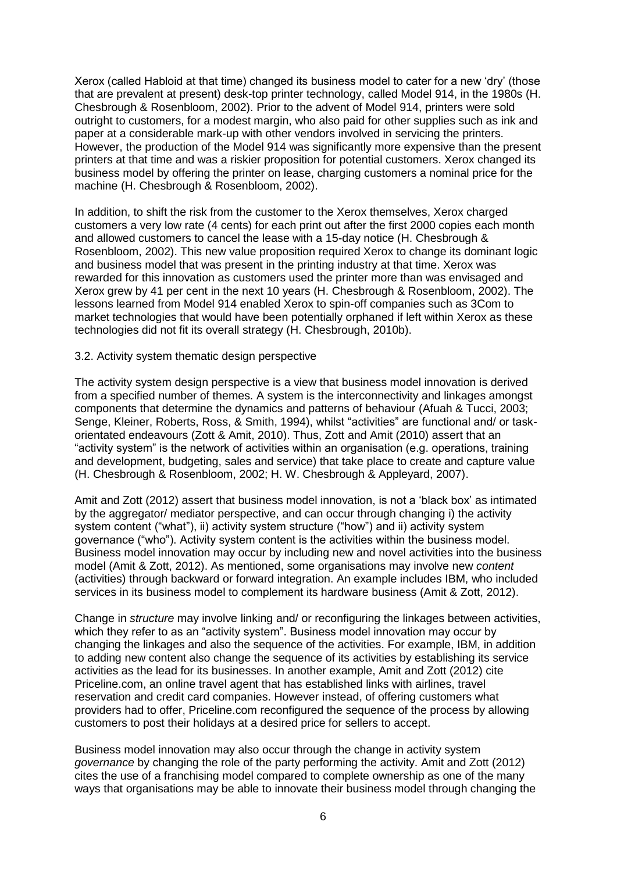Xerox (called Habloid at that time) changed its business model to cater for a new 'dry' (those that are prevalent at present) desk-top printer technology, called Model 914, in the 1980s (H. Chesbrough & Rosenbloom, 2002). Prior to the advent of Model 914, printers were sold outright to customers, for a modest margin, who also paid for other supplies such as ink and paper at a considerable mark-up with other vendors involved in servicing the printers. However, the production of the Model 914 was significantly more expensive than the present printers at that time and was a riskier proposition for potential customers. Xerox changed its business model by offering the printer on lease, charging customers a nominal price for the machine (H. Chesbrough & Rosenbloom, 2002).

In addition, to shift the risk from the customer to the Xerox themselves, Xerox charged customers a very low rate (4 cents) for each print out after the first 2000 copies each month and allowed customers to cancel the lease with a 15-day notice (H. Chesbrough & Rosenbloom, 2002). This new value proposition required Xerox to change its dominant logic and business model that was present in the printing industry at that time. Xerox was rewarded for this innovation as customers used the printer more than was envisaged and Xerox grew by 41 per cent in the next 10 years (H. Chesbrough & Rosenbloom, 2002). The lessons learned from Model 914 enabled Xerox to spin-off companies such as 3Com to market technologies that would have been potentially orphaned if left within Xerox as these technologies did not fit its overall strategy (H. Chesbrough, 2010b).

#### 3.2. Activity system thematic design perspective

The activity system design perspective is a view that business model innovation is derived from a specified number of themes. A system is the interconnectivity and linkages amongst components that determine the dynamics and patterns of behaviour (Afuah & Tucci, 2003; Senge, Kleiner, Roberts, Ross, & Smith, 1994), whilst "activities" are functional and/ or taskorientated endeavours (Zott & Amit, 2010). Thus, Zott and Amit (2010) assert that an "activity system" is the network of activities within an organisation (e.g. operations, training and development, budgeting, sales and service) that take place to create and capture value (H. Chesbrough & Rosenbloom, 2002; H. W. Chesbrough & Appleyard, 2007).

Amit and Zott (2012) assert that business model innovation, is not a 'black box' as intimated by the aggregator/ mediator perspective, and can occur through changing i) the activity system content ("what"), ii) activity system structure ("how") and ii) activity system governance ("who"). Activity system content is the activities within the business model. Business model innovation may occur by including new and novel activities into the business model (Amit & Zott, 2012). As mentioned, some organisations may involve new *content* (activities) through backward or forward integration. An example includes IBM, who included services in its business model to complement its hardware business (Amit & Zott, 2012).

Change in *structure* may involve linking and/ or reconfiguring the linkages between activities, which they refer to as an "activity system". Business model innovation may occur by changing the linkages and also the sequence of the activities. For example, IBM, in addition to adding new content also change the sequence of its activities by establishing its service activities as the lead for its businesses. In another example, Amit and Zott (2012) cite Priceline.com, an online travel agent that has established links with airlines, travel reservation and credit card companies. However instead, of offering customers what providers had to offer, Priceline.com reconfigured the sequence of the process by allowing customers to post their holidays at a desired price for sellers to accept.

Business model innovation may also occur through the change in activity system *governance* by changing the role of the party performing the activity. Amit and Zott (2012) cites the use of a franchising model compared to complete ownership as one of the many ways that organisations may be able to innovate their business model through changing the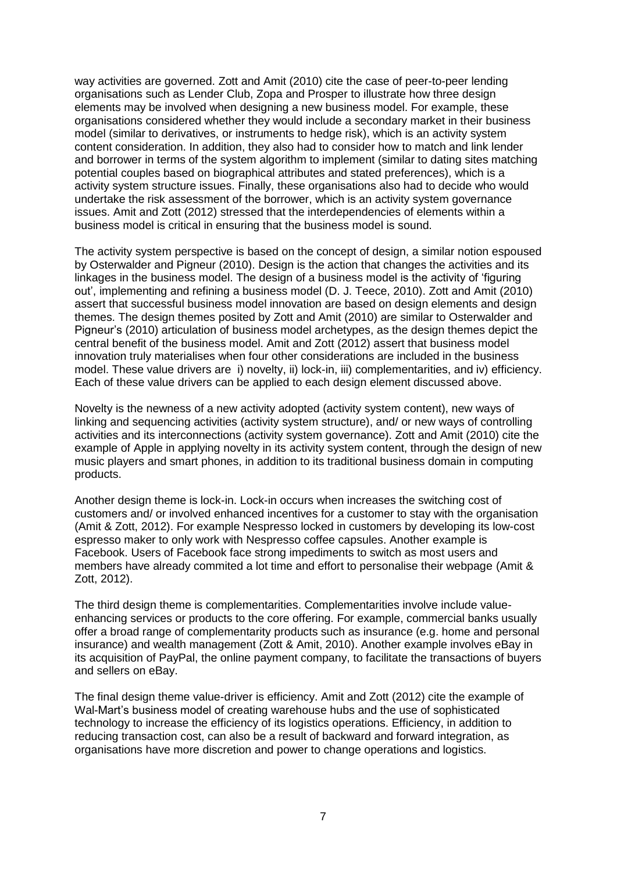way activities are governed. Zott and Amit (2010) cite the case of peer-to-peer lending organisations such as Lender Club, Zopa and Prosper to illustrate how three design elements may be involved when designing a new business model. For example, these organisations considered whether they would include a secondary market in their business model (similar to derivatives, or instruments to hedge risk), which is an activity system content consideration. In addition, they also had to consider how to match and link lender and borrower in terms of the system algorithm to implement (similar to dating sites matching potential couples based on biographical attributes and stated preferences), which is a activity system structure issues. Finally, these organisations also had to decide who would undertake the risk assessment of the borrower, which is an activity system governance issues. Amit and Zott (2012) stressed that the interdependencies of elements within a business model is critical in ensuring that the business model is sound.

The activity system perspective is based on the concept of design, a similar notion espoused by Osterwalder and Pigneur (2010). Design is the action that changes the activities and its linkages in the business model. The design of a business model is the activity of 'figuring out', implementing and refining a business model (D. J. Teece, 2010). Zott and Amit (2010) assert that successful business model innovation are based on design elements and design themes. The design themes posited by Zott and Amit (2010) are similar to Osterwalder and Pigneur's (2010) articulation of business model archetypes, as the design themes depict the central benefit of the business model. Amit and Zott (2012) assert that business model innovation truly materialises when four other considerations are included in the business model. These value drivers are i) novelty, ii) lock-in, iii) complementarities, and iv) efficiency. Each of these value drivers can be applied to each design element discussed above.

Novelty is the newness of a new activity adopted (activity system content), new ways of linking and sequencing activities (activity system structure), and/ or new ways of controlling activities and its interconnections (activity system governance). Zott and Amit (2010) cite the example of Apple in applying novelty in its activity system content, through the design of new music players and smart phones, in addition to its traditional business domain in computing products.

Another design theme is lock-in. Lock-in occurs when increases the switching cost of customers and/ or involved enhanced incentives for a customer to stay with the organisation (Amit & Zott, 2012). For example Nespresso locked in customers by developing its low-cost espresso maker to only work with Nespresso coffee capsules. Another example is Facebook. Users of Facebook face strong impediments to switch as most users and members have already commited a lot time and effort to personalise their webpage (Amit & Zott, 2012).

The third design theme is complementarities. Complementarities involve include valueenhancing services or products to the core offering. For example, commercial banks usually offer a broad range of complementarity products such as insurance (e.g. home and personal insurance) and wealth management (Zott & Amit, 2010). Another example involves eBay in its acquisition of PayPal, the online payment company, to facilitate the transactions of buyers and sellers on eBay.

The final design theme value-driver is efficiency. Amit and Zott (2012) cite the example of Wal-Mart's business model of creating warehouse hubs and the use of sophisticated technology to increase the efficiency of its logistics operations. Efficiency, in addition to reducing transaction cost, can also be a result of backward and forward integration, as organisations have more discretion and power to change operations and logistics.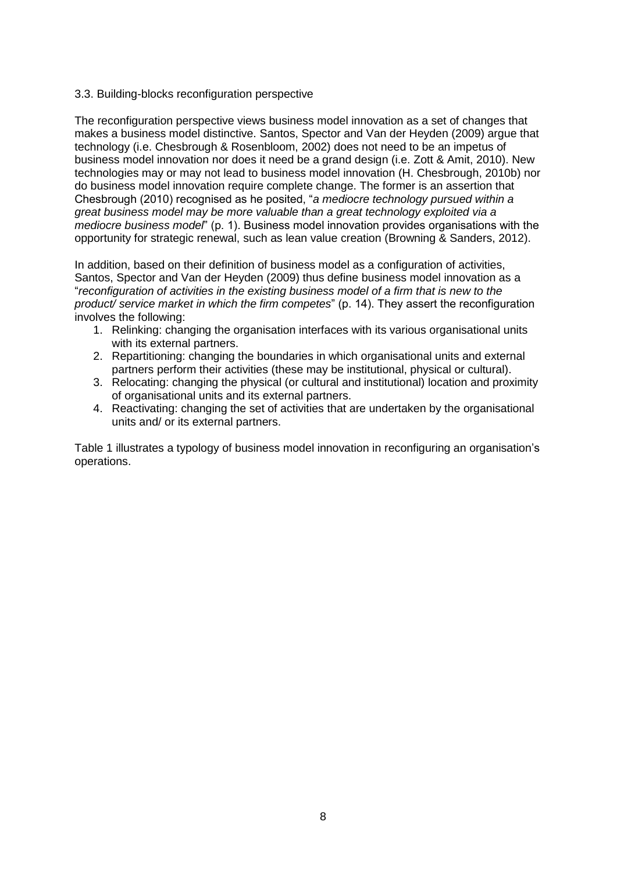### 3.3. Building-blocks reconfiguration perspective

The reconfiguration perspective views business model innovation as a set of changes that makes a business model distinctive. Santos, Spector and Van der Heyden (2009) argue that technology (i.e. Chesbrough & Rosenbloom, 2002) does not need to be an impetus of business model innovation nor does it need be a grand design (i.e. Zott & Amit, 2010). New technologies may or may not lead to business model innovation (H. Chesbrough, 2010b) nor do business model innovation require complete change. The former is an assertion that Chesbrough (2010) recognised as he posited, "*a mediocre technology pursued within a great business model may be more valuable than a great technology exploited via a mediocre business model*" (p. 1). Business model innovation provides organisations with the opportunity for strategic renewal, such as lean value creation (Browning & Sanders, 2012).

In addition, based on their definition of business model as a configuration of activities, Santos, Spector and Van der Heyden (2009) thus define business model innovation as a "*reconfiguration of activities in the existing business model of a firm that is new to the product/ service market in which the firm competes*" (p. 14). They assert the reconfiguration involves the following:

- 1. Relinking: changing the organisation interfaces with its various organisational units with its external partners.
- 2. Repartitioning: changing the boundaries in which organisational units and external partners perform their activities (these may be institutional, physical or cultural).
- 3. Relocating: changing the physical (or cultural and institutional) location and proximity of organisational units and its external partners.
- 4. Reactivating: changing the set of activities that are undertaken by the organisational units and/ or its external partners.

Table 1 illustrates a typology of business model innovation in reconfiguring an organisation's operations.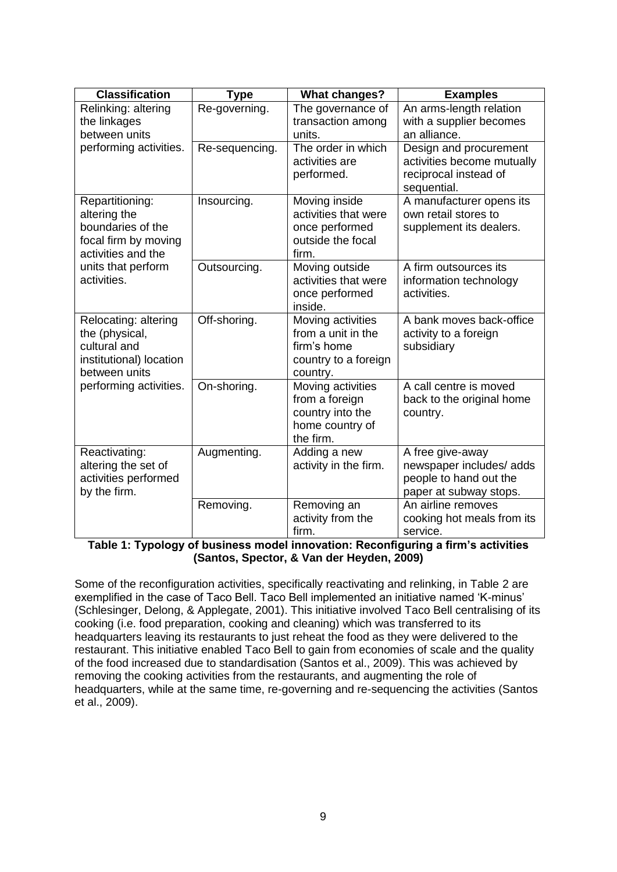| <b>Classification</b>                                                                                                                   | <b>Type</b>    | <b>What changes?</b>                                                                       | <b>Examples</b>                                                                                  |
|-----------------------------------------------------------------------------------------------------------------------------------------|----------------|--------------------------------------------------------------------------------------------|--------------------------------------------------------------------------------------------------|
| Relinking: altering<br>the linkages                                                                                                     | Re-governing.  | The governance of<br>transaction among                                                     | An arms-length relation<br>with a supplier becomes                                               |
| between units                                                                                                                           |                | units.                                                                                     | an alliance.                                                                                     |
| performing activities.                                                                                                                  | Re-sequencing. | The order in which<br>activities are<br>performed.                                         | Design and procurement<br>activities become mutually<br>reciprocal instead of<br>sequential.     |
| Repartitioning:<br>altering the<br>boundaries of the<br>focal firm by moving<br>activities and the<br>units that perform<br>activities. | Insourcing.    | Moving inside<br>activities that were<br>once performed<br>outside the focal<br>firm.      | A manufacturer opens its<br>own retail stores to<br>supplement its dealers.                      |
|                                                                                                                                         | Outsourcing.   | Moving outside<br>activities that were<br>once performed<br>inside.                        | A firm outsources its<br>information technology<br>activities.                                   |
| Relocating: altering<br>the (physical,<br>cultural and<br>institutional) location<br>between units<br>performing activities.            | Off-shoring.   | Moving activities<br>from a unit in the<br>firm's home<br>country to a foreign<br>country. | A bank moves back-office<br>activity to a foreign<br>subsidiary                                  |
|                                                                                                                                         | On-shoring.    | Moving activities<br>from a foreign<br>country into the<br>home country of<br>the firm.    | A call centre is moved<br>back to the original home<br>country.                                  |
| Reactivating:<br>altering the set of<br>activities performed<br>by the firm.                                                            | Augmenting.    | Adding a new<br>activity in the firm.                                                      | A free give-away<br>newspaper includes/ adds<br>people to hand out the<br>paper at subway stops. |
|                                                                                                                                         | Removing.      | Removing an<br>activity from the<br>firm.                                                  | An airline removes<br>cooking hot meals from its<br>service.                                     |

**Table 1: Typology of business model innovation: Reconfiguring a firm's activities (Santos, Spector, & Van der Heyden, 2009)**

Some of the reconfiguration activities, specifically reactivating and relinking, in Table 2 are exemplified in the case of Taco Bell. Taco Bell implemented an initiative named 'K-minus' (Schlesinger, Delong, & Applegate, 2001). This initiative involved Taco Bell centralising of its cooking (i.e. food preparation, cooking and cleaning) which was transferred to its headquarters leaving its restaurants to just reheat the food as they were delivered to the restaurant. This initiative enabled Taco Bell to gain from economies of scale and the quality of the food increased due to standardisation (Santos et al., 2009). This was achieved by removing the cooking activities from the restaurants, and augmenting the role of headquarters, while at the same time, re-governing and re-sequencing the activities (Santos et al., 2009).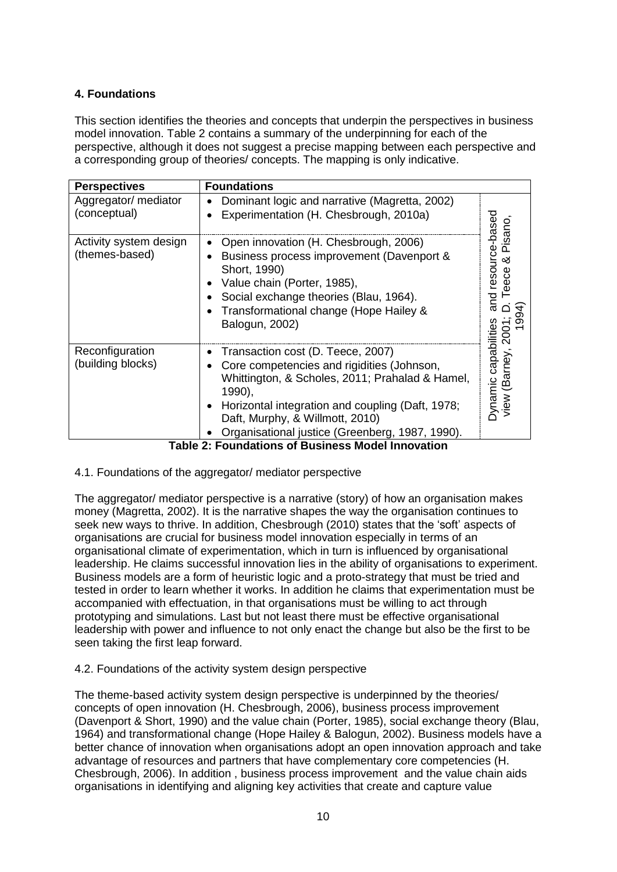# **4. Foundations**

This section identifies the theories and concepts that underpin the perspectives in business model innovation. Table 2 contains a summary of the underpinning for each of the perspective, although it does not suggest a precise mapping between each perspective and a corresponding group of theories/ concepts. The mapping is only indicative.

| <b>Perspectives</b>                      | <b>Foundations</b>                                                                                                                                                                                                                                                                     |                                                                                                                           |  |
|------------------------------------------|----------------------------------------------------------------------------------------------------------------------------------------------------------------------------------------------------------------------------------------------------------------------------------------|---------------------------------------------------------------------------------------------------------------------------|--|
| Aggregator/ mediator<br>(conceptual)     | Dominant logic and narrative (Magretta, 2002)<br>Experimentation (H. Chesbrough, 2010a)                                                                                                                                                                                                | resource-based<br>Pisano<br>య<br>පි<br>®<br>and<br><b>Dynamic capabilities</b><br>Š<br>$\overline{N}$<br>(Barney,<br>view |  |
| Activity system design<br>(themes-based) | Open innovation (H. Chesbrough, 2006)<br>Business process improvement (Davenport &<br>Short, 1990)<br>Value chain (Porter, 1985),<br>Social exchange theories (Blau, 1964).<br>Transformational change (Hope Hailey &<br>Balogun, 2002)                                                |                                                                                                                           |  |
| Reconfiguration<br>(building blocks)     | Transaction cost (D. Teece, 2007)<br>Core competencies and rigidities (Johnson,<br>Whittington, & Scholes, 2011; Prahalad & Hamel,<br>1990),<br>Horizontal integration and coupling (Daft, 1978;<br>Daft, Murphy, & Willmott, 2010)<br>Organisational justice (Greenberg, 1987, 1990). |                                                                                                                           |  |

**Table 2: Foundations of Business Model Innovation**

4.1. Foundations of the aggregator/ mediator perspective

The aggregator/ mediator perspective is a narrative (story) of how an organisation makes money (Magretta, 2002). It is the narrative shapes the way the organisation continues to seek new ways to thrive. In addition, Chesbrough (2010) states that the 'soft' aspects of organisations are crucial for business model innovation especially in terms of an organisational climate of experimentation, which in turn is influenced by organisational leadership. He claims successful innovation lies in the ability of organisations to experiment. Business models are a form of heuristic logic and a proto-strategy that must be tried and tested in order to learn whether it works. In addition he claims that experimentation must be accompanied with effectuation, in that organisations must be willing to act through prototyping and simulations. Last but not least there must be effective organisational leadership with power and influence to not only enact the change but also be the first to be seen taking the first leap forward.

4.2. Foundations of the activity system design perspective

The theme-based activity system design perspective is underpinned by the theories/ concepts of open innovation (H. Chesbrough, 2006), business process improvement (Davenport & Short, 1990) and the value chain (Porter, 1985), social exchange theory (Blau, 1964) and transformational change (Hope Hailey & Balogun, 2002). Business models have a better chance of innovation when organisations adopt an open innovation approach and take advantage of resources and partners that have complementary core competencies (H. Chesbrough, 2006). In addition , business process improvement and the value chain aids organisations in identifying and aligning key activities that create and capture value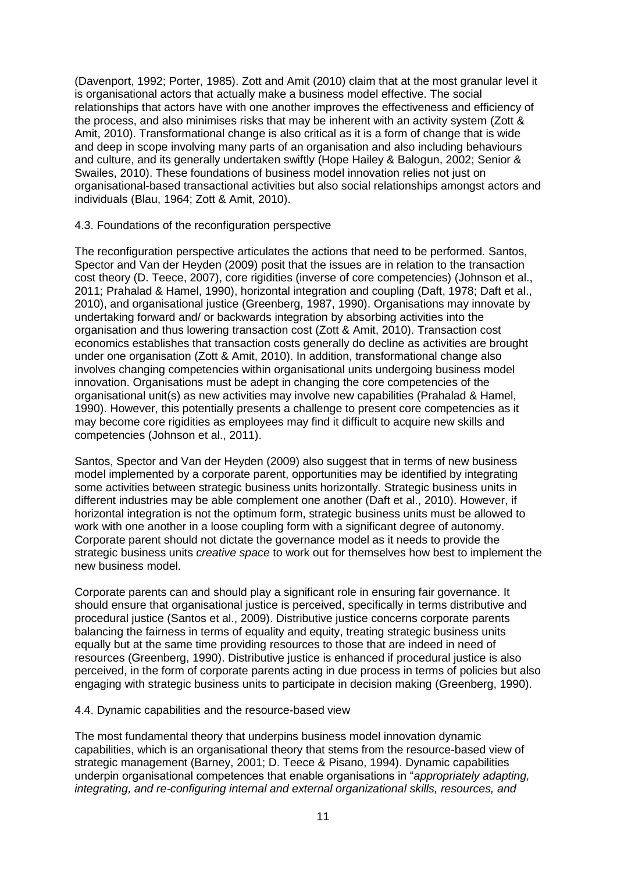(Davenport, 1992; Porter, 1985). Zott and Amit (2010) claim that at the most granular level it is organisational actors that actually make a business model effective. The social relationships that actors have with one another improves the effectiveness and efficiency of the process, and also minimises risks that may be inherent with an activity system (Zott & Amit, 2010). Transformational change is also critical as it is a form of change that is wide and deep in scope involving many parts of an organisation and also including behaviours and culture, and its generally undertaken swiftly (Hope Hailey & Balogun, 2002; Senior & Swailes, 2010). These foundations of business model innovation relies not just on organisational-based transactional activities but also social relationships amongst actors and individuals (Blau, 1964; Zott & Amit, 2010).

### 4.3. Foundations of the reconfiguration perspective

The reconfiguration perspective articulates the actions that need to be performed. Santos, Spector and Van der Heyden (2009) posit that the issues are in relation to the transaction cost theory (D. Teece, 2007), core rigidities (inverse of core competencies) (Johnson et al., 2011; Prahalad & Hamel, 1990), horizontal integration and coupling (Daft, 1978; Daft et al., 2010), and organisational justice (Greenberg, 1987, 1990). Organisations may innovate by undertaking forward and/ or backwards integration by absorbing activities into the organisation and thus lowering transaction cost (Zott & Amit, 2010). Transaction cost economics establishes that transaction costs generally do decline as activities are brought under one organisation (Zott & Amit, 2010). In addition, transformational change also involves changing competencies within organisational units undergoing business model innovation. Organisations must be adept in changing the core competencies of the organisational unit(s) as new activities may involve new capabilities (Prahalad & Hamel, 1990). However, this potentially presents a challenge to present core competencies as it may become core rigidities as employees may find it difficult to acquire new skills and competencies (Johnson et al., 2011).

Santos, Spector and Van der Heyden (2009) also suggest that in terms of new business model implemented by a corporate parent, opportunities may be identified by integrating some activities between strategic business units horizontally. Strategic business units in different industries may be able complement one another (Daft et al., 2010). However, if horizontal integration is not the optimum form, strategic business units must be allowed to work with one another in a loose coupling form with a significant degree of autonomy. Corporate parent should not dictate the governance model as it needs to provide the strategic business units *creative space* to work out for themselves how best to implement the new business model.

Corporate parents can and should play a significant role in ensuring fair governance. It should ensure that organisational justice is perceived, specifically in terms distributive and procedural justice (Santos et al., 2009). Distributive justice concerns corporate parents balancing the fairness in terms of equality and equity, treating strategic business units equally but at the same time providing resources to those that are indeed in need of resources (Greenberg, 1990). Distributive justice is enhanced if procedural justice is also perceived, in the form of corporate parents acting in due process in terms of policies but also engaging with strategic business units to participate in decision making (Greenberg, 1990).

#### 4.4. Dynamic capabilities and the resource-based view

The most fundamental theory that underpins business model innovation dynamic capabilities, which is an organisational theory that stems from the resource-based view of strategic management (Barney, 2001; D. Teece & Pisano, 1994). Dynamic capabilities underpin organisational competences that enable organisations in "*appropriately adapting, integrating, and re-configuring internal and external organizational skills, resources, and*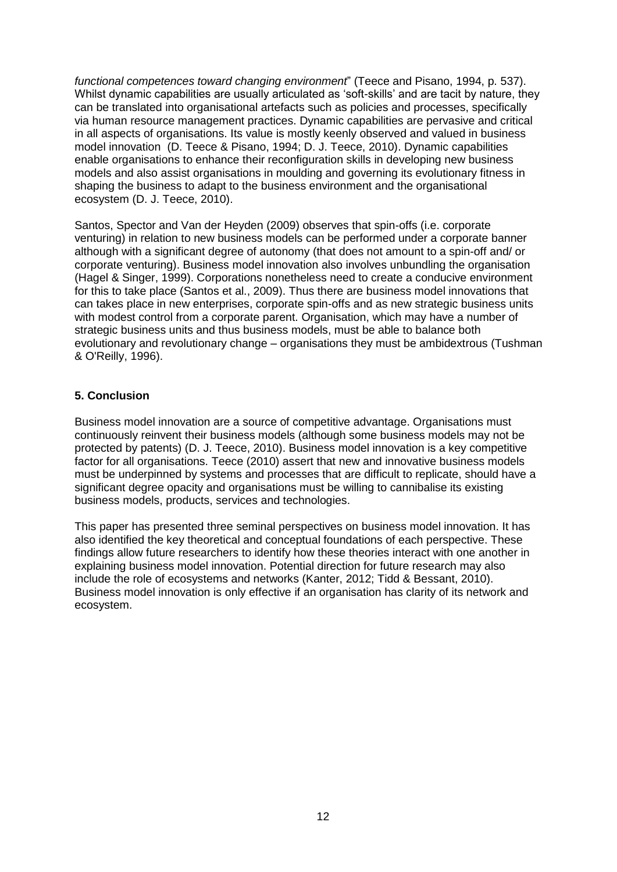*functional competences toward changing environment*" (Teece and Pisano, 1994, p. 537). Whilst dynamic capabilities are usually articulated as 'soft-skills' and are tacit by nature, they can be translated into organisational artefacts such as policies and processes, specifically via human resource management practices. Dynamic capabilities are pervasive and critical in all aspects of organisations. Its value is mostly keenly observed and valued in business model innovation (D. Teece & Pisano, 1994; D. J. Teece, 2010). Dynamic capabilities enable organisations to enhance their reconfiguration skills in developing new business models and also assist organisations in moulding and governing its evolutionary fitness in shaping the business to adapt to the business environment and the organisational ecosystem (D. J. Teece, 2010).

Santos, Spector and Van der Heyden (2009) observes that spin-offs (i.e. corporate venturing) in relation to new business models can be performed under a corporate banner although with a significant degree of autonomy (that does not amount to a spin-off and/ or corporate venturing). Business model innovation also involves unbundling the organisation (Hagel & Singer, 1999). Corporations nonetheless need to create a conducive environment for this to take place (Santos et al., 2009). Thus there are business model innovations that can takes place in new enterprises, corporate spin-offs and as new strategic business units with modest control from a corporate parent. Organisation, which may have a number of strategic business units and thus business models, must be able to balance both evolutionary and revolutionary change – organisations they must be ambidextrous (Tushman & O'Reilly, 1996).

### **5. Conclusion**

Business model innovation are a source of competitive advantage. Organisations must continuously reinvent their business models (although some business models may not be protected by patents) (D. J. Teece, 2010). Business model innovation is a key competitive factor for all organisations. Teece (2010) assert that new and innovative business models must be underpinned by systems and processes that are difficult to replicate, should have a significant degree opacity and organisations must be willing to cannibalise its existing business models, products, services and technologies.

This paper has presented three seminal perspectives on business model innovation. It has also identified the key theoretical and conceptual foundations of each perspective. These findings allow future researchers to identify how these theories interact with one another in explaining business model innovation. Potential direction for future research may also include the role of ecosystems and networks (Kanter, 2012; Tidd & Bessant, 2010). Business model innovation is only effective if an organisation has clarity of its network and ecosystem.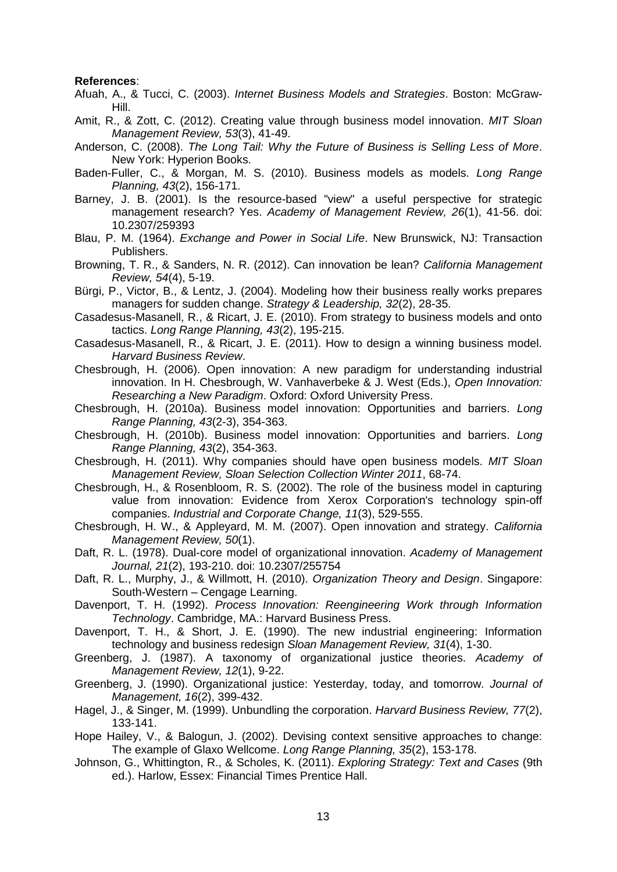#### **References**:

- Afuah, A., & Tucci, C. (2003). *Internet Business Models and Strategies*. Boston: McGraw-Hill.
- Amit, R., & Zott, C. (2012). Creating value through business model innovation. *MIT Sloan Management Review, 53*(3), 41-49.
- Anderson, C. (2008). *The Long Tail: Why the Future of Business is Selling Less of More*. New York: Hyperion Books.
- Baden-Fuller, C., & Morgan, M. S. (2010). Business models as models. *Long Range Planning, 43*(2), 156-171.
- Barney, J. B. (2001). Is the resource-based "view" a useful perspective for strategic management research? Yes. *Academy of Management Review, 26*(1), 41-56. doi: 10.2307/259393
- Blau, P. M. (1964). *Exchange and Power in Social Life*. New Brunswick, NJ: Transaction Publishers.
- Browning, T. R., & Sanders, N. R. (2012). Can innovation be lean? *California Management Review, 54*(4), 5-19.
- Bürgi, P., Victor, B., & Lentz, J. (2004). Modeling how their business really works prepares managers for sudden change. *Strategy & Leadership, 32*(2), 28-35.
- Casadesus-Masanell, R., & Ricart, J. E. (2010). From strategy to business models and onto tactics. *Long Range Planning, 43*(2), 195-215.
- Casadesus-Masanell, R., & Ricart, J. E. (2011). How to design a winning business model. *Harvard Business Review*.
- Chesbrough, H. (2006). Open innovation: A new paradigm for understanding industrial innovation. In H. Chesbrough, W. Vanhaverbeke & J. West (Eds.), *Open Innovation: Researching a New Paradigm*. Oxford: Oxford University Press.
- Chesbrough, H. (2010a). Business model innovation: Opportunities and barriers. *Long Range Planning, 43*(2-3), 354-363.
- Chesbrough, H. (2010b). Business model innovation: Opportunities and barriers. *Long Range Planning, 43*(2), 354-363.
- Chesbrough, H. (2011). Why companies should have open business models. *MIT Sloan Management Review, Sloan Selection Collection Winter 2011*, 68-74.
- Chesbrough, H., & Rosenbloom, R. S. (2002). The role of the business model in capturing value from innovation: Evidence from Xerox Corporation's technology spin-off companies. *Industrial and Corporate Change, 11*(3), 529-555.
- Chesbrough, H. W., & Appleyard, M. M. (2007). Open innovation and strategy. *California Management Review, 50*(1).
- Daft, R. L. (1978). Dual-core model of organizational innovation. *Academy of Management Journal, 21*(2), 193-210. doi: 10.2307/255754
- Daft, R. L., Murphy, J., & Willmott, H. (2010). *Organization Theory and Design*. Singapore: South-Western – Cengage Learning.
- Davenport, T. H. (1992). *Process Innovation: Reengineering Work through Information Technology*. Cambridge, MA.: Harvard Business Press.
- Davenport, T. H., & Short, J. E. (1990). The new industrial engineering: Information technology and business redesign *Sloan Management Review, 31*(4), 1-30.
- Greenberg, J. (1987). A taxonomy of organizational justice theories. *Academy of Management Review, 12*(1), 9-22.
- Greenberg, J. (1990). Organizational justice: Yesterday, today, and tomorrow. *Journal of Management, 16*(2), 399-432.
- Hagel, J., & Singer, M. (1999). Unbundling the corporation. *Harvard Business Review, 77*(2), 133-141.
- Hope Hailey, V., & Balogun, J. (2002). Devising context sensitive approaches to change: The example of Glaxo Wellcome. *Long Range Planning, 35*(2), 153-178.
- Johnson, G., Whittington, R., & Scholes, K. (2011). *Exploring Strategy: Text and Cases* (9th ed.). Harlow, Essex: Financial Times Prentice Hall.